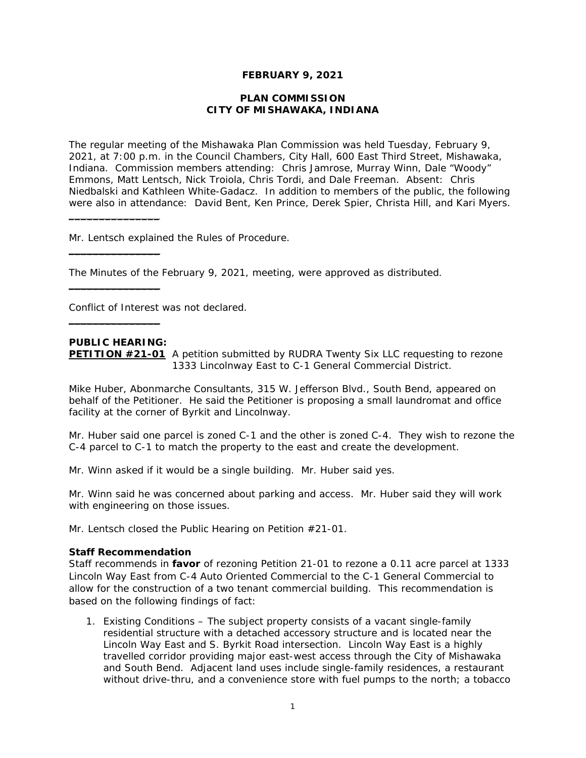# **FEBRUARY 9, 2021**

#### **PLAN COMMISSION CITY OF MISHAWAKA, INDIANA**

The regular meeting of the Mishawaka Plan Commission was held Tuesday, February 9, 2021, at 7:00 p.m. in the Council Chambers, City Hall, 600 East Third Street, Mishawaka, Indiana. Commission members attending: Chris Jamrose, Murray Winn, Dale "Woody" Emmons, Matt Lentsch, Nick Troiola, Chris Tordi, and Dale Freeman. Absent: Chris Niedbalski and Kathleen White-Gadacz. In addition to members of the public, the following were also in attendance: David Bent, Ken Prince, Derek Spier, Christa Hill, and Kari Myers.

Mr. Lentsch explained the Rules of Procedure.

The Minutes of the February 9, 2021, meeting, were approved as distributed.

Conflict of Interest was not declared.

# **PUBLIC HEARING:**

 $\overline{\phantom{a}}$  , where the contract of the contract of the contract of the contract of the contract of the contract of the contract of the contract of the contract of the contract of the contract of the contract of the contr

 $\_$ 

 $\_$ 

 $\_$ 

**PETITION #21-01** A petition submitted by RUDRA Twenty Six LLC requesting to rezone 1333 Lincolnway East to C-1 General Commercial District.

Mike Huber, Abonmarche Consultants, 315 W. Jefferson Blvd., South Bend, appeared on behalf of the Petitioner. He said the Petitioner is proposing a small laundromat and office facility at the corner of Byrkit and Lincolnway.

Mr. Huber said one parcel is zoned C-1 and the other is zoned C-4. They wish to rezone the C-4 parcel to C-1 to match the property to the east and create the development.

Mr. Winn asked if it would be a single building. Mr. Huber said yes.

Mr. Winn said he was concerned about parking and access. Mr. Huber said they will work with engineering on those issues.

Mr. Lentsch closed the Public Hearing on Petition #21-01.

# **Staff Recommendation**

*Staff recommends in favor of rezoning Petition 21-01 to rezone a 0.11 acre parcel at 1333 Lincoln Way East from C-4 Auto Oriented Commercial to the C-1 General Commercial to allow for the construction of a two tenant commercial building. This recommendation is based on the following findings of fact:* 

*1. Existing Conditions – The subject property consists of a vacant single-family residential structure with a detached accessory structure and is located near the Lincoln Way East and S. Byrkit Road intersection. Lincoln Way East is a highly travelled corridor providing major east-west access through the City of Mishawaka and South Bend. Adjacent land uses include single-family residences, a restaurant without drive-thru, and a convenience store with fuel pumps to the north; a tobacco*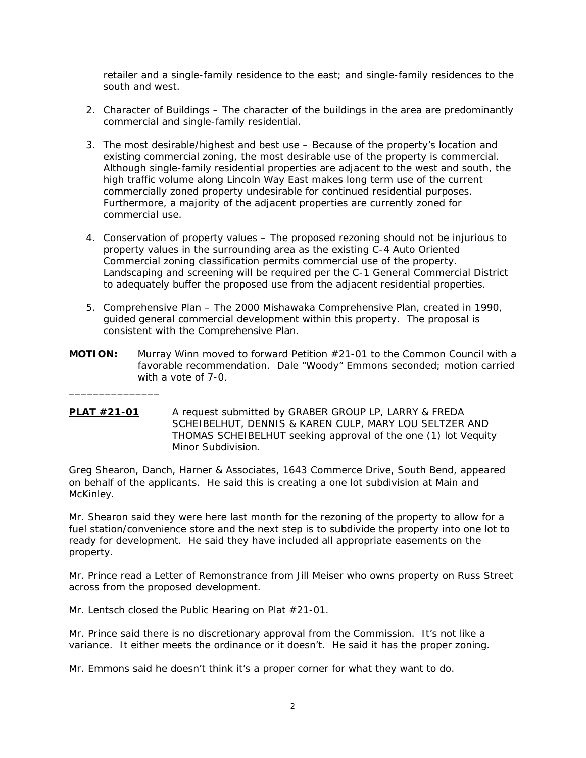*retailer and a single-family residence to the east; and single-family residences to the south and west.* 

- *2. Character of Buildings The character of the buildings in the area are predominantly commercial and single-family residential.*
- *3. The most desirable/highest and best use Because of the property's location and existing commercial zoning, the most desirable use of the property is commercial. Although single-family residential properties are adjacent to the west and south, the high traffic volume along Lincoln Way East makes long term use of the current commercially zoned property undesirable for continued residential purposes. Furthermore, a majority of the adjacent properties are currently zoned for commercial use.*
- *4. Conservation of property values The proposed rezoning should not be injurious to property values in the surrounding area as the existing C-4 Auto Oriented Commercial zoning classification permits commercial use of the property. Landscaping and screening will be required per the C-1 General Commercial District to adequately buffer the proposed use from the adjacent residential properties.*
- *5. Comprehensive Plan The 2000 Mishawaka Comprehensive Plan, created in 1990, guided general commercial development within this property. The proposal is consistent with the Comprehensive Plan.*
- **MOTION:** Murray Winn moved to forward Petition #21-01 to the Common Council with a favorable recommendation. Dale "Woody" Emmons seconded; motion carried with a vote of 7-0.
- **PLAT #21-01** A request submitted by GRABER GROUP LP, LARRY & FREDA SCHEIBELHUT, DENNIS & KAREN CULP, MARY LOU SELTZER AND THOMAS SCHEIBELHUT seeking approval of the one (1) lot Vequity Minor Subdivision.

Greg Shearon, Danch, Harner & Associates, 1643 Commerce Drive, South Bend, appeared on behalf of the applicants. He said this is creating a one lot subdivision at Main and McKinley.

Mr. Shearon said they were here last month for the rezoning of the property to allow for a fuel station/convenience store and the next step is to subdivide the property into one lot to ready for development. He said they have included all appropriate easements on the property.

Mr. Prince read a Letter of Remonstrance from Jill Meiser who owns property on Russ Street across from the proposed development.

Mr. Lentsch closed the Public Hearing on Plat #21-01.

 $\_$ 

Mr. Prince said there is no discretionary approval from the Commission. It's not like a variance. It either meets the ordinance or it doesn't. He said it has the proper zoning.

Mr. Emmons said he doesn't think it's a proper corner for what they want to do.